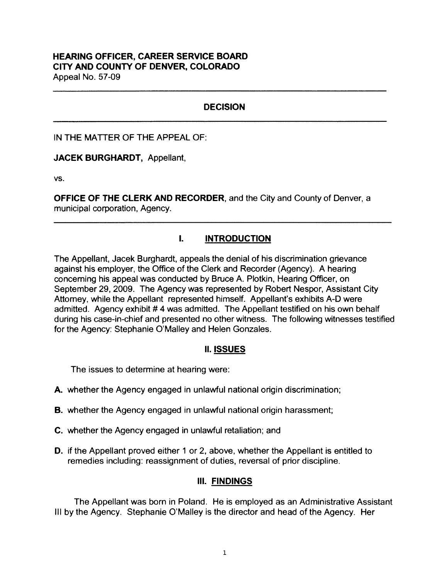#### **HEARING OFFICER, CAREER SERVICE BOARD CITY AND COUNTY OF DENVER, COLORADO**  Appeal No. 57-09

# **DECISION**

IN THE MATTER OF THE APPEAL OF:

**JACEK BURGHARDT,** Appellant,

vs.

**OFFICE OF THE CLERK AND RECORDER,** and the City and County of Denver, a municipal corporation, Agency.

# I. **INTRODUCTION**

The Appellant, Jacek Burghardt, appeals the denial of his discrimination grievance against his employer, the Office of the Clerk and Recorder (Agency). A hearing concerning his appeal was conducted by Bruce A. Plotkin, Hearing Officer, on September 29, 2009. The Agency was represented by Robert Nespor, Assistant City Attorney, while the Appellant represented himself. Appellant's exhibits A-D were admitted. Agency exhibit # 4 was admitted. The Appellant testified on his own behalf during his case-in-chief and presented no other witness. The following witnesses testified for the Agency: Stephanie O'Malley and Helen Gonzales.

## II. **ISSUES**

The issues to determine at hearing were:

- **A.** whether the Agency engaged in unlawful national origin discrimination;
- **B.** whether the Agency engaged in unlawful national origin harassment;
- **C.** whether the Agency engaged in unlawful retaliation; and
- **D.** if the Appellant proved either 1 or 2, above, whether the Appellant is entitled to remedies including: reassignment of duties, reversal of prior discipline.

## Ill. **FINDINGS**

The Appellant was born in Poland. He is employed as an Administrative Assistant Ill by the Agency. Stephanie O'Malley is the director and head of the Agency. Her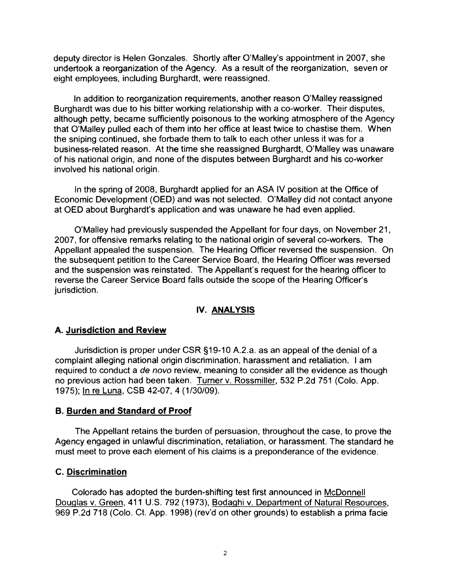deputy director is Helen Gonzales. Shortly after O'Malley's appointment in 2007, she undertook a reorganization of the Agency. As a result of the reorganization, seven or eight employees, including Burghardt, were reassigned.

In addition to reorganization requirements, another reason O'Malley reassigned Burghardt was due to his bitter working relationship with a co-worker. Their disputes, although petty, became sufficiently poisonous to the working atmosphere of the Agency that O'Malley pulled each of them into her office at least twice to chastise them. When the sniping continued, she forbade them to talk to each other unless it was for a business-related reason. At the time she reassigned Burghardt, O'Malley was unaware of his national origin, and none of the disputes between Burghardt and his co-worker involved his national origin.

In the spring of 2008, Burghardt applied for an ASA IV position at the Office of Economic Development (OED) and was not selected. O'Malley did not contact anyone at OED about Burghardt's application and was unaware he had even applied.

O'Malley had previously suspended the Appellant for four days, on November 21, 2007, for offensive remarks relating to the national origin of several co-workers. The Appellant appealed the suspension. The Hearing Officer reversed the suspension. On the subsequent petition to the Career Service Board, the Hearing Officer was reversed and the suspension was reinstated. The Appellant's request for the hearing officer to reverse the Career Service Board falls outside the scope of the Hearing Officer's jurisdiction.

## **IV. ANALYSIS**

## **A. Jurisdiction and Review**

Jurisdiction is proper under CSR §19-10 A.2.a. as an appeal of the denial of a complaint alleging national origin discrimination, harassment and retaliation. I am required to conduct a de novo review, meaning to consider all the evidence as though no previous action had been taken. Turner v. Rossmiller, 532 P.2d 751 (Colo. App. 1975); In re Luna, CSB 42-07, 4 (1/30/09).

## **B. Burden and Standard of Proof**

The Appellant retains the burden of persuasion, throughout the case, to prove the Agency engaged in unlawful discrimination, retaliation, or harassment. The standard he must meet to prove each element of his claims is a preponderance of the evidence.

## **C. Discrimination**

Colorado has adopted the burden-shifting test first announced in McDonnell Douglas v. Green, 411 U.S. 792 (1973), Bodaghi v. Department of Natural Resources, 969 P.2d 718 (Colo. Ct. App. 1998) (rev'd on other grounds) to establish a prima facie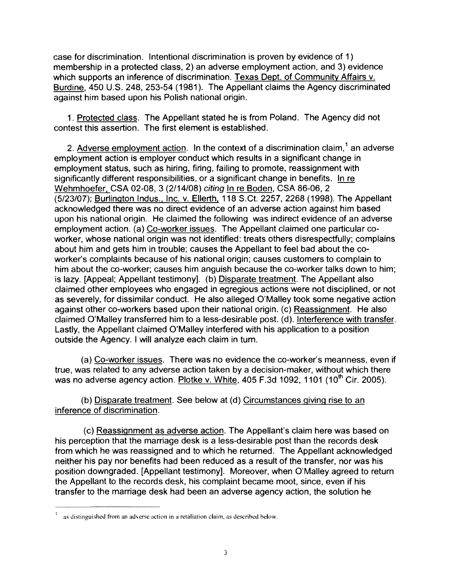case for discrimination. Intentional discrimination is proven by evidence of 1) membership in a protected class, 2) an adverse employment action, and 3) evidence which supports an inference of discrimination. Texas Dept. of Community Affairs v. Burdine, 450 U.S. 248, 253-54 (1981). The Appellant claims the Agency discriminated against him based upon his Polish national origin.

1. Protected class. The Appellant stated he is from Poland. The Agency did not contest this assertion. The first element is established.

2. Adverse employment action. In the context of a discrimination claim, $<sup>1</sup>$  an adverse</sup> employment action is employer conduct which results in a significant change in employment status, such as hiring, firing, failing to promote, reassignment with significantly different responsibilities, or a significant change in benefits. In re Wehmhoefer. CSA 02-08, 3 (2/14/08) citing In re Boden, CSA 86-06, 2 (5/23/07); Burlington Indus., Inc. v. Ellerth, 118 S.Ct. 2257, 2268 (1998). The Appellant acknowledged there was no direct evidence of an adverse action against him based upon his national origin. He claimed the following was indirect evidence of an adverse employment action. (a) Co-worker issues. The Appellant claimed one particular coworker, whose national origin was not identified: treats others disrespectfully; complains about him and gets him in trouble; causes the Appellant to feel bad about the coworker's complaints because of his national origin; causes customers to complain to him about the co-worker; causes him anguish because the co-worker talks down to him; is lazy. (Appeal; Appellant testimony]. (b) Disparate treatment. The Appellant also claimed other employees who engaged in egregious actions were not disciplined, or not as severely, for dissimilar conduct. He also alleged O'Malley took some negative action against other co-workers based upon their national origin. (c) Reassignment. He also claimed O'Malley transferred him to a less-desirable post. (d). Interference with transfer. Lastly, the Appellant claimed O'Malley interfered with his application to a position outside the Agency. I will analyze each claim in tum.

(a) Co-worker issues. There was no evidence the co-worker's meanness, even if true, was related to any adverse action taken by a decision-maker, without which there was no adverse agency action. Plotke v. White, 405 F.3d 1092, 1101 (10<sup>th</sup> Cir. 2005).

(b) Disparate treatment. See below at (d) Circumstances giving rise to an inference of discrimination.

(c) Reassignment as adverse action. The Appellant's claim here was based on his perception that the marriage desk is a less-desirable post than the records desk from which he was reassigned and to which he returned. The Appellant acknowledged neither his pay nor benefits had been reduced as a result of the transfer, nor was his position downgraded. [Appellant testimony]. Moreover, when O'Malley agreed to return the Appellant to the records desk, his complaint became moot, since, even if his transfer to the marriage desk had been an adverse agency action, the solution he

as distinguished from an adverse action in a retaliation claim, as described below.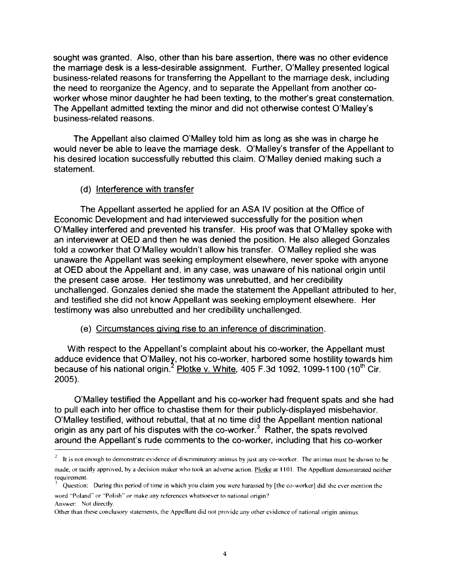sought was granted. Also, other than his bare assertion, there was no other evidence the marriage desk is a less-desirable assignment. Further, O'Malley presented logical business-related reasons for transferring the Appellant to the marriage desk, including the need to reorganize the Agency, and to separate the Appellant from another coworker whose minor daughter he had been texting, to the mother's great consternation. The Appellant admitted texting the minor and did not otherwise contest O'Malley's business-related reasons.

The Appellant also claimed O'Malley told him as long as she was in charge he would never be able to leave the marriage desk. O'Malley's transfer of the Appellant to his desired location successfully rebutted this claim. O'Malley denied making such a statement.

#### (d) Interference with transfer

The Appellant asserted he applied for an ASA IV position at the Office of Economic Development and had interviewed successfully for the position when O'Malley interfered and prevented his transfer. His proof was that O'Malley spoke with an interviewer at OED and then he was denied the position. He also alleged Gonzales told a coworker that O'Malley wouldn't allow his transfer. O'Malley replied she was unaware the Appellant was seeking employment elsewhere, never spoke with anyone at OED about the Appellant and, in any case, was unaware of his national origin until the present case arose. Her testimony was unrebutted, and her credibility unchallenged. Gonzales denied she made the statement the Appellant attributed to her, and testified she did not know Appellant was seeking employment elsewhere. Her testimony was also unrebutted and her credibility unchallenged.

#### (e) Circumstances giving rise to an inference of discrimination.

With respect to the Appellant's complaint about his co-worker, the Appellant must adduce evidence that O'Malley, not his co-worker, harbored some hostility towards him because of his national origin.<sup>2</sup> Plotke v. White, 405 F.3d 1092, 1099-1100 (10<sup>th</sup> Cir. 2005).

O'Malley testified the Appellant and his co-worker had frequent spats and she had to pull each into her office to chastise them for their publicly-displayed misbehavior. O'Malley testified, without rebuttal, that at no time did the Appellant mention national origin as any part of his disputes with the co-worker.<sup>3</sup> Rather, the spats revolved around the Appellant's rude comments to the co-worker, including that his co-worker

It is not enough to demonstrate evidence of discriminatory animus by just any co-worker. The animus must be shown to be made, or tacitly approved, by a decision maker who took an adverse action. Plotke at 1101. The Appellant demonstrated neither requirement.

Question: During this period of time in which you claim you were harassed by [the co-worker] did she ever mention the word "Poland" or "Polish" or make any references whatsoever to national origin? Answer: Not directly.

Other than these conclusory statements, the Appellant did not provide any other evidence of national origin animus.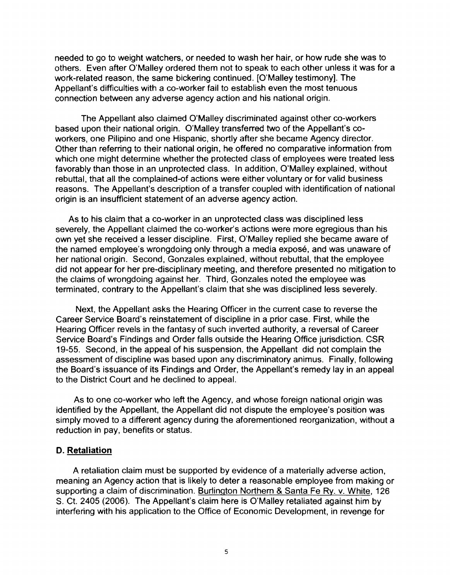needed to go to weight watchers, or needed to wash her hair, or how rude she was to others. Even after O'Malley ordered them not to speak to each other unless it was for a work-related reason, the same bickering continued. [O'Malley testimony]. The Appellant's difficulties with a co-worker fail to establish even the most tenuous connection between any adverse agency action and his national origin.

The Appellant also claimed O'Malley discriminated against other co-workers based upon their national origin. O'Malley transferred two of the Appellant's coworkers, one Pilipino and one Hispanic, shortly after she became Agency director. Other than referring to their national origin, he offered no comparative information from which one might determine whether the protected class of employees were treated less favorably than those in an unprotected class. In addition, O'Malley explained, without rebuttal, that all the complained-of actions were either voluntary or for valid business reasons. The Appellant's description of a transfer coupled with identification of national origin is an insufficient statement of an adverse agency action.

As to his claim that a co-worker in an unprotected class was disciplined less severely, the Appellant claimed the co-worker's actions were more egregious than his own yet she received a lesser discipline. First, O'Malley replied she became aware of the named employee's wrongdoing only through a media expose, and was unaware of her national origin. Second, Gonzales explained, without rebuttal, that the employee did not appear for her pre-disciplinary meeting, and therefore presented no mitigation to the claims of wrongdoing against her. Third, Gonzales noted the employee was terminated, contrary to the Appellant's claim that she was disciplined less severely.

Next, the Appellant asks the Hearing Officer in the current case to reverse the Career Service Board's reinstatement of discipline in a prior case. First, while the Hearing Officer revels in the fantasy of such inverted authority, a reversal of Career Service Board's Findings and Order falls outside the Hearing Office jurisdiction. CSR 19-55. Second, in the appeal of his suspension, the Appellant did not complain the assessment of discipline was based upon any discriminatory animus. Finally, following the Board's issuance of its Findings and Order, the Appellant's remedy lay in an appeal to the District Court and he declined to appeal.

As to one co-worker who left the Agency, and whose foreign national origin was identified by the Appellant, the Appellant did not dispute the employee's position was simply moved to a different agency during the aforementioned reorganization, without a reduction in pay, benefits or status.

## **D. Retaliation**

A retaliation claim must be supported by evidence of a materially adverse action, meaning an Agency action that is likely to deter a reasonable employee from making or supporting a claim of discrimination. Burlington Northern & Santa Fe Ry. v. White, 126 S. Ct. 2405 (2006). The Appellant's claim here is O'Malley retaliated against him by interfering with his application to the Office of Economic Development, in revenge for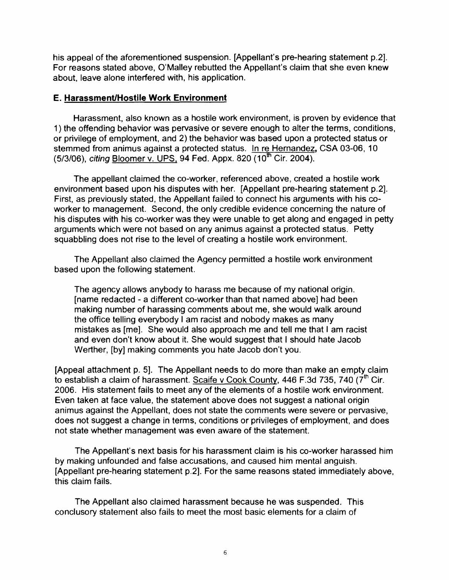his appeal of the aforementioned suspension. [Appellant's pre-hearing statement p.2]. For reasons stated above, O'Malley rebutted the Appellant's claim that she even knew about, leave alone interfered with, his application.

#### **E. Harassment/Hostile Work Environment**

Harassment, also known as a hostile work environment, is proven by evidence that 1) the offending behavior was pervasive or severe enough to alter the terms, conditions, or privilege of employment, and 2) the behavior was based upon a protected status or stemmed from animus against a protected status. In re Hernandez, CSA 03-06, 10  $(5/3/06)$ , citing Bloomer v. UPS, 94 Fed. Appx. 820  $(10^{th}$  Cir. 2004).

The appellant claimed the co-worker, referenced above, created a hostile work environment based upon his disputes with her. [Appellant pre-hearing statement p.2]. First, as previously stated, the Appellant failed to connect his arguments with his coworker to management. Second, the only credible evidence concerning the nature of his disputes with his co-worker was they were unable to get along and engaged in petty arguments which were not based on any animus against a protected status. Petty squabbling does not rise to the level of creating a hostile work environment.

The Appellant also claimed the Agency permitted a hostile work environment based upon the following statement.

The agency allows anybody to harass me because of my national origin. [name redacted - a different co-worker than that named above] had been making number of harassing comments about me, she would walk around the office telling everybody I am racist and nobody makes as many mistakes as [me]. She would also approach me and tell me that I am racist and even don't know about it. She would suggest that I should hate Jacob Werther, [by] making comments you hate Jacob don't you.

[Appeal attachment p. 5]. The Appellant needs to do more than make an empty claim to establish a claim of harassment. Scaife v Cook County, 446 F.3d 735, 740 (7<sup>th</sup> Cir. 2006. His statement fails to meet any of the elements of a hostile work environment. Even taken at face value, the statement above does not suggest a national origin animus against the Appellant, does not state the comments were severe or pervasive, does not suggest a change in terms, conditions or privileges of employment, and does not state whether management was even aware of the statement.

The Appellant's next basis for his harassment claim is his co-worker harassed him by making unfounded and false accusations, and caused him mental anguish. [Appellant pre-hearing statement p.2]. For the same reasons stated immediately above, this claim fails.

The Appellant also claimed harassment because he was suspended. This conclusory statement also fails to meet the most basic elements for a claim of